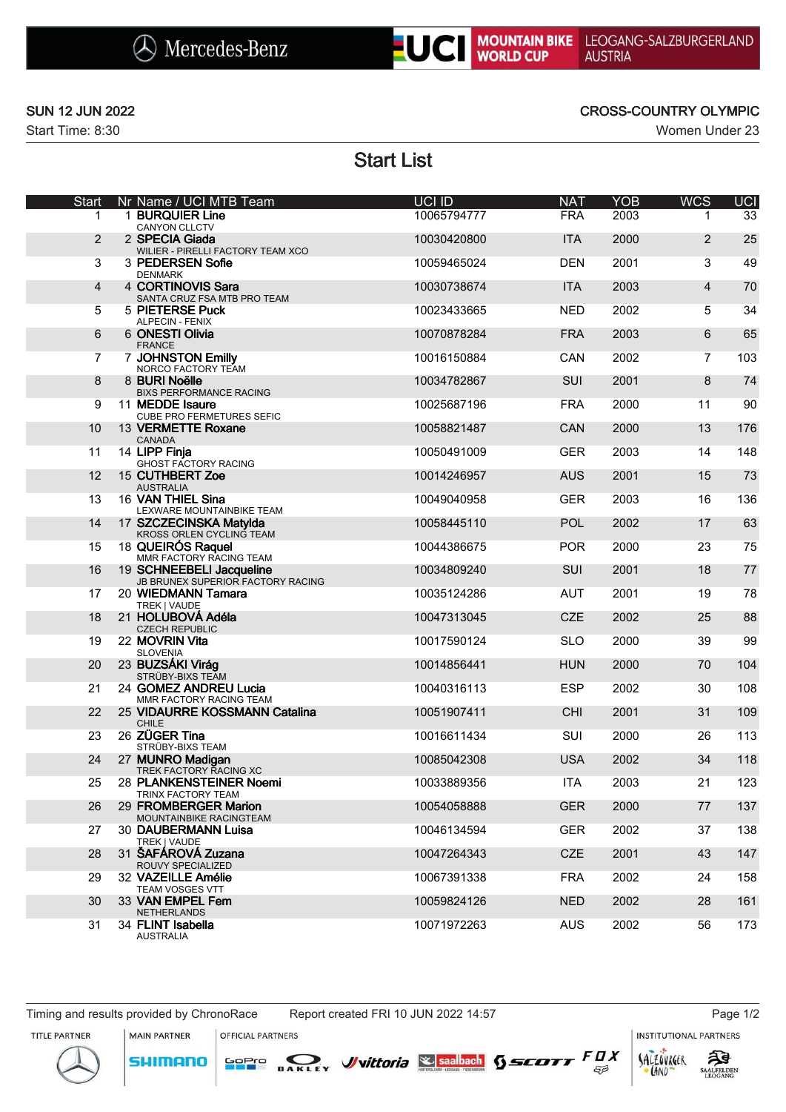



Start Time: 8:30 Women Under 23

### SUN 12 JUN 2022 CROSS-COUNTRY OLYMPIC

# Start List

| <b>Start</b>   | Nr Name / UCI MTB Team                                        | UCI ID      | <b>NAT</b> | <b>YOB</b> | <b>WCS</b>     | <b>UCI</b> |
|----------------|---------------------------------------------------------------|-------------|------------|------------|----------------|------------|
| 1.             | 1 BURQUIER Line<br><b>CANYON CLLCTV</b>                       | 10065794777 | <b>FRA</b> | 2003       | 1.             | 33         |
| $\overline{c}$ | 2 SPECIA Giada<br>WILIER - PIRELLI FACTORY TEAM XCO           | 10030420800 | <b>ITA</b> | 2000       | 2              | 25         |
| 3              | 3 PEDERSEN Sofie<br><b>DENMARK</b>                            | 10059465024 | <b>DEN</b> | 2001       | 3              | 49         |
| 4              | 4 CORTINOVIS Sara<br>SANTA CRUZ FSA MTB PRO TEAM              | 10030738674 | <b>ITA</b> | 2003       | $\overline{4}$ | 70         |
| 5              | 5 PIETERSE Puck<br>ALPECIN - FENIX                            | 10023433665 | <b>NED</b> | 2002       | 5              | 34         |
| 6              | 6 ONESTI Olivia<br><b>FRANCE</b>                              | 10070878284 | <b>FRA</b> | 2003       | 6              | 65         |
| $\overline{7}$ | 7 JOHNSTON Emilly<br>NORCO FACTORY TEAM                       | 10016150884 | CAN        | 2002       | $\overline{7}$ | 103        |
| 8              | 8 BURI Noëlle<br><b>BIXS PERFORMANCE RACING</b>               | 10034782867 | SUI        | 2001       | 8              | 74         |
| 9              | 11 MEDDE Isaure<br><b>CUBE PRO FERMETURES SEFIC</b>           | 10025687196 | <b>FRA</b> | 2000       | 11             | 90         |
| 10             | 13 VERMETTE Roxane<br>CANADA                                  | 10058821487 | <b>CAN</b> | 2000       | 13             | 176        |
| 11             | 14 LIPP Finja<br>GHOST FACTORY RACING                         | 10050491009 | <b>GER</b> | 2003       | 14             | 148        |
| 12             | 15 CUTHBERT Zoe<br><b>AUSTRALIA</b>                           | 10014246957 | <b>AUS</b> | 2001       | 15             | 73         |
| 13             | 16 VAN THIEL Sina<br>LEXWARE MOUNTAINBIKE TEAM                | 10049040958 | <b>GER</b> | 2003       | 16             | 136        |
| 14             | 17 SZCZECINSKA Matylda<br>KROSS ORLEN CYCLING TEAM            | 10058445110 | <b>POL</b> | 2002       | 17             | 63         |
| 15             | 18 QUEIRÓS Raquel<br>MMR FACTORY RACING TEAM                  | 10044386675 | <b>POR</b> | 2000       | 23             | 75         |
| 16             | 19 SCHNEEBELI Jacqueline<br>JB BRUNEX SUPERIOR FACTORY RACING | 10034809240 | SUI        | 2001       | 18             | 77         |
| 17             | 20 WIEDMANN Tamara<br>TREK   VAUDE                            | 10035124286 | <b>AUT</b> | 2001       | 19             | 78         |
| 18             | 21 HOLUBOVÁ Adéla<br><b>CZECH REPUBLIC</b>                    | 10047313045 | <b>CZE</b> | 2002       | 25             | 88         |
| 19             | 22 MOVRIN Vita<br><b>SLOVENIA</b>                             | 10017590124 | <b>SLO</b> | 2000       | 39             | 99         |
| 20             | 23 BUZSÁKI Virág<br>STRÜBY-BIXS TEAM                          | 10014856441 | <b>HUN</b> | 2000       | 70             | 104        |
| 21             | 24 GOMEZ ANDREU Lucia<br>MMR FACTORY RACING TEAM              | 10040316113 | <b>ESP</b> | 2002       | 30             | 108        |
| 22             | 25 VIDAURRE KOSSMANN Catalina<br>CHILE                        | 10051907411 | <b>CHI</b> | 2001       | 31             | 109        |
| 23             | 26 ZÜGER Tina<br>STRÜBY-BIXS TEAM                             | 10016611434 | SUI        | 2000       | 26             | 113        |
| 24             | 27 MUNRO Madigan<br>TREK FACTORY RACING XC                    | 10085042308 | <b>USA</b> | 2002       | 34             | 118        |
| 25             | 28 PLANKENSTEINER Noemi<br>TRINX FACTORY TEAM                 | 10033889356 | <b>ITA</b> | 2003       | 21             | 123        |
| 26             | 29 FROMBERGER Marion<br>MOUNTAINBIKE RACINGTEAM               | 10054058888 | <b>GER</b> | 2000       | 77             | 137        |
| 27             | 30 DAUBERMANN Luisa<br>TREK   VAUDE                           | 10046134594 | <b>GER</b> | 2002       | 37             | 138        |
| 28             | 31 ŠAFÁROVÁ Zuzana<br>ROUVY SPECIALIZED                       | 10047264343 | <b>CZE</b> | 2001       | 43             | 147        |
| 29             | 32 VAZEILLE Amélie<br>TEAM VOSGES VTT                         | 10067391338 | <b>FRA</b> | 2002       | 24             | 158        |
| 30             | 33 VAN EMPEL Fem<br><b>NETHERLANDS</b>                        | 10059824126 | <b>NED</b> | 2002       | 28             | 161        |
| 31             | 34 FLINT Isabella<br>AUSTRALIA                                | 10071972263 | <b>AUS</b> | 2002       | 56             | 173        |

MAIN PARTNER

**SHIMANO** 

OFFICIAL PARTNERS

SOPIO DAKLEY Vittoria & saabach SSCOTT FUX

**INSTITUTIONAL PARTNERS** 

LAND

 $53$ 

TITLE PARTNER